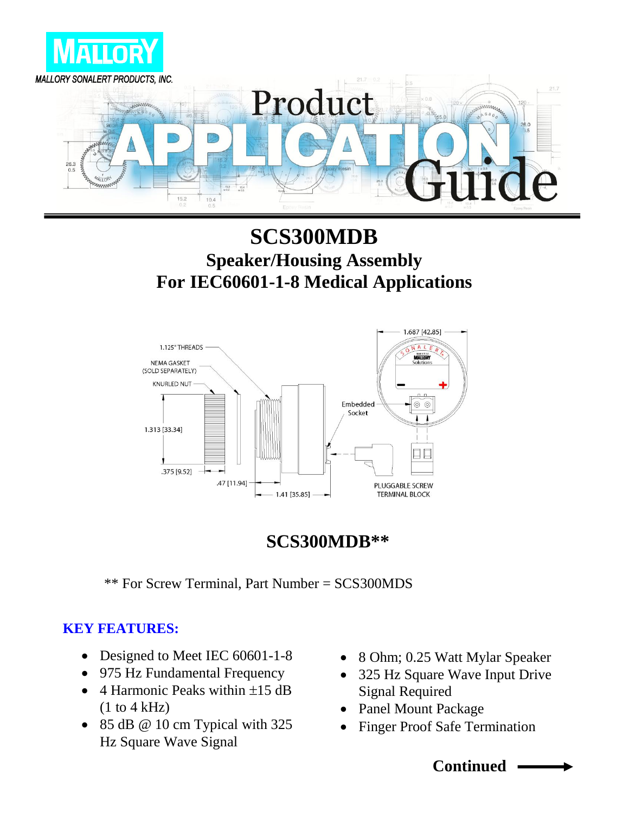

## **SCS300MDB Speaker/Housing Assembly For IEC60601-1-8 Medical Applications**



### **SCS300MDB\*\***

\*\* For Screw Terminal, Part Number = SCS300MDS

#### **KEY FEATURES:**

- Designed to Meet IEC 60601-1-8
- 975 Hz Fundamental Frequency
- 4 Harmonic Peaks within  $\pm 15$  dB  $(1 to 4 kHz)$
- $\bullet$  85 dB @ 10 cm Typical with 325 Hz Square Wave Signal
- 8 Ohm; 0.25 Watt Mylar Speaker
- 325 Hz Square Wave Input Drive Signal Required
- Panel Mount Package
- Finger Proof Safe Termination

**Continued**